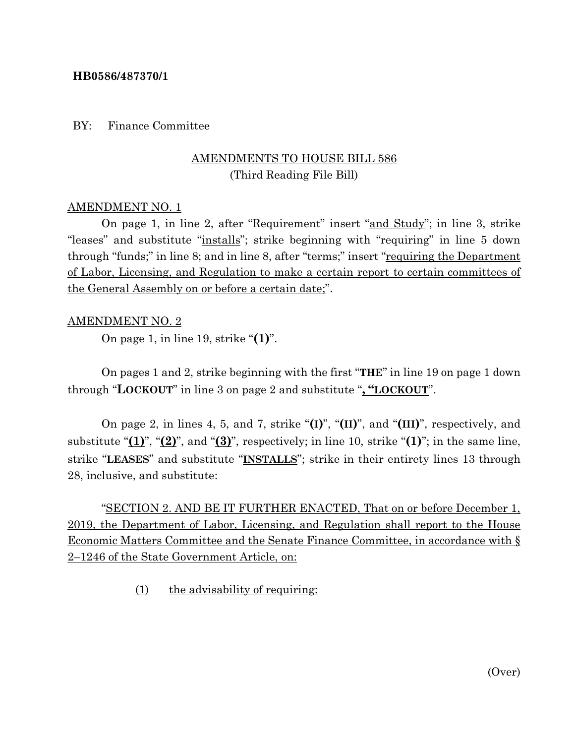### **HB0586/487370/1**

BY: Finance Committee

# AMENDMENTS TO HOUSE BILL 586 (Third Reading File Bill)

### AMENDMENT NO. 1

On page 1, in line 2, after "Requirement" insert "and Study"; in line 3, strike "leases" and substitute "installs"; strike beginning with "requiring" in line 5 down through "funds;" in line 8; and in line 8, after "terms;" insert "requiring the Department of Labor, Licensing, and Regulation to make a certain report to certain committees of the General Assembly on or before a certain date;".

#### AMENDMENT NO. 2

On page 1, in line 19, strike "**(1)**".

On pages 1 and 2, strike beginning with the first "**THE**" in line 19 on page 1 down through "**LOCKOUT**" in line 3 on page 2 and substitute "**, "LOCKOUT**".

On page 2, in lines 4, 5, and 7, strike "**(I)**", "**(II)**", and "**(III)**", respectively, and substitute "**(1)**", "**(2)**", and "**(3)**", respectively; in line 10, strike "**(1)**"; in the same line, strike "**LEASES**" and substitute "**INSTALLS**"; strike in their entirety lines 13 through 28, inclusive, and substitute:

"SECTION 2. AND BE IT FURTHER ENACTED, That on or before December 1, 2019, the Department of Labor, Licensing, and Regulation shall report to the House Economic Matters Committee and the Senate Finance Committee, in accordance with § 2–1246 of the State Government Article, on:

(1) the advisability of requiring: